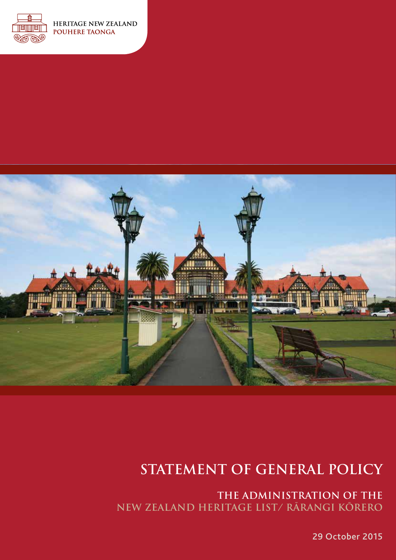



# **STATEMENT OF GENERAL POLICY**

**THE ADMINISTRATION OF THE NEW ZEALAND HERITAGE LIST/ RĀRANGI KŌRERO** 

29 October 2015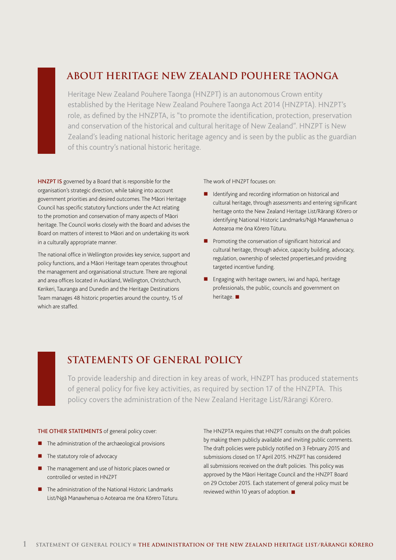## **ABOUT HERITAGE NEW ZEALAND POUHERE TAONGA**

Heritage New Zealand Pouhere Taonga (HNZPT) is an autonomous Crown entity established by the Heritage New Zealand Pouhere Taonga Act 2014 (HNZPTA). HNZPT's role, as defined by the HNZPTA, is "to promote the identification, protection, preservation and conservation of the historical and cultural heritage of New Zealand". HNZPT is New Zealand's leading national historic heritage agency and is seen by the public as the guardian of this country's national historic heritage.

HNZPT IS governed by a Board that is responsible for the organisation's strategic direction, while taking into account government priorities and desired outcomes. The Māori Heritage Council has specific statutory functions under the Act relating to the promotion and conservation of many aspects of Māori heritage. The Council works closely with the Board and advises the Board on matters of interest to Māori and on undertaking its work in a culturally appropriate manner.

The national office in Wellington provides key service, support and policy functions, and a Māori Heritage team operates throughout the management and organisational structure. There are regional and area offices located in Auckland, Wellington, Christchurch, Kerikeri, Tauranga and Dunedin and the Heritage Destinations Team manages 48 historic properties around the country, 15 of which are staffed.

The work of HNZPT focuses on:

- **I** Identifying and recording information on historical and cultural heritage, through assessments and entering significant heritage onto the New Zealand Heritage List/Rārangi Kōrero or identifying National Historic Landmarks/Ngā Manawhenua o Aotearoa me ōna Kōrero Tūturu.
- **Promoting the conservation of significant historical and** cultural heritage, through advice, capacity building, advocacy, regulation, ownership of selected properties,and providing targeted incentive funding.
- Engaging with heritage owners, iwi and hapū, heritage professionals, the public, councils and government on heritage.  $\blacksquare$

## **STATEMENTS OF GENERAL POLICY**

To provide leadership and direction in key areas of work, HNZPT has produced statements of general policy for five key activities, as required by section 17 of the HNZPTA. This policy covers the administration of the New Zealand Heritage List/Rārangi Kōrero.

### THE OTHER STATEMENTS of general policy cover:

- The administration of the archaeological provisions
- The statutory role of advocacy
- The management and use of historic places owned or controlled or vested in HNZPT
- The administration of the National Historic Landmarks List/Ngā Manawhenua o Aotearoa me ōna Kōrero Tūturu.

The HNZPTA requires that HNZPT consults on the draft policies by making them publicly available and inviting public comments. The draft policies were publicly notified on 3 February 2015 and submissions closed on 17 April 2015. HNZPT has considered all submissions received on the draft policies. This policy was approved by the Māori Heritage Council and the HNZPT Board on 29 October 2015. Each statement of general policy must be reviewed within 10 years of adoption.  $\blacksquare$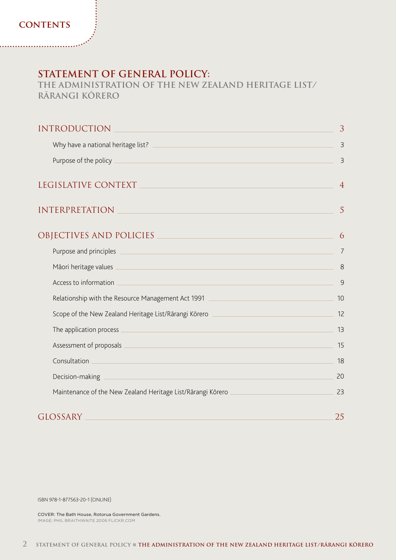### **STATEMENT OF GENERAL POLICY:**

**THE ADMINISTRATION OF THE NEW ZEALAND HERITAGE LIST/ RĀRANGI KŌRERO** 

| <b>INTRODUCTION</b>                                                                                                                              | 3              |
|--------------------------------------------------------------------------------------------------------------------------------------------------|----------------|
| Why have a national heritage list?                                                                                                               | $\overline{3}$ |
| Purpose of the policy _                                                                                                                          | $\overline{3}$ |
| LEGISLATIVE CONTEXT                                                                                                                              | $\overline{4}$ |
| <b>INTERPRETATION</b>                                                                                                                            | 5              |
| OBJECTIVES AND POLICIES                                                                                                                          | 6              |
| Purpose and principles<br><u> 1989 - Johann Stoff, deutscher Stoffen und der Stoffen und der Stoffen und der Stoffen und der Stoffen und der</u> | 7              |
|                                                                                                                                                  | 8              |
| Access to information<br><u> 1989 - Andrea Stadt Britain, amerikansk politiker (d. 1989)</u>                                                     | 9              |
| Relationship with the Resource Management Act 1991 [2012] [2012] [2012] [2012] [2012] [2012] [2012] [2012] [20                                   | 10             |
| Scope of the New Zealand Heritage List/Rārangi Kōrero ___________________________                                                                | 12             |
| The application process<br><u> 1989 - Johann Stein, marwolaethau (b. 1989)</u>                                                                   | 13             |
| Assessment of proposals<br><u> 1989 - Johann Stein, mars an deus Amerikaansk kommunister (</u>                                                   | 15             |
| Consultation<br><u> 1989 - Johann Stein, marwolaethau a bhann an t-Amhair an t-Amhair an t-Amhair an t-Amhair an t-Amhair an t-A</u>             | 18             |
| Decision-making                                                                                                                                  | 20             |
| Maintenance of the New Zealand Heritage List/Rārangi Kōrero                                                                                      | 23             |
| <b>GLOSSARY</b>                                                                                                                                  | 25             |

ISBN 978-1-877563-20-1 (ONLINE)

COVER: The Bath House, Rotorua Government Gardens. IMAGE: PHIL BRAITHWAITE 2006 FLICKR.COM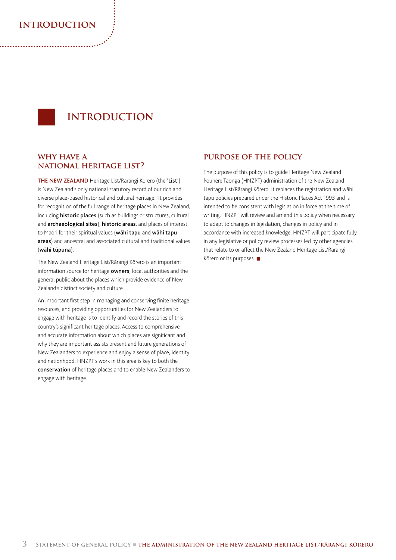### **introduction**

## **INTRODUCTION**

### **why have a national heritage list?**

THE NEW ZEALAND Heritage List/Rārangi Kōrero (the 'List') is New Zealand's only national statutory record of our rich and diverse place-based historical and cultural heritage. It provides for recognition of the full range of heritage places in New Zealand, including **historic places** (such as buildings or structures, cultural and archaeological sites), historic areas, and places of interest to Māori for their spiritual values (wāhi tapu and wāhi tapu areas) and ancestral and associated cultural and traditional values (wāhi tūpuna).

The New Zealand Heritage List/Rārangi Kōrero is an important information source for heritage owners, local authorities and the general public about the places which provide evidence of New Zealand's distinct society and culture.

An important first step in managing and conserving finite heritage resources, and providing opportunities for New Zealanders to engage with heritage is to identify and record the stories of this country's significant heritage places. Access to comprehensive and accurate information about which places are significant and why they are important assists present and future generations of New Zealanders to experience and enjoy a sense of place, identity and nationhood. HNZPT's work in this area is key to both the conservation of heritage places and to enable New Zealanders to engage with heritage.

### **purpose of the policy**

The purpose of this policy is to guide Heritage New Zealand Pouhere Taonga (HNZPT) administration of the New Zealand Heritage List/Rārangi Kōrero. It replaces the registration and wāhi tapu policies prepared under the Historic Places Act 1993 and is intended to be consistent with legislation in force at the time of writing. HNZPT will review and amend this policy when necessary to adapt to changes in legislation, changes in policy and in accordance with increased knowledge. HNZPT will participate fully in any legislative or policy review processes led by other agencies that relate to or affect the New Zealand Heritage List/Rārangi Kōrero or its purposes.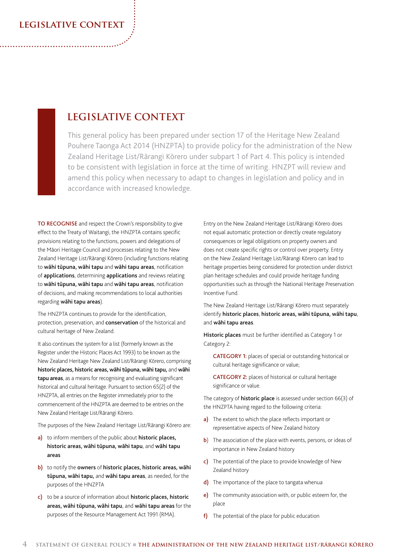### **legislative context**

## **LEGISLATIVE CONTEXT**

This general policy has been prepared under section 17 of the Heritage New Zealand Pouhere Taonga Act 2014 (HNZPTA) to provide policy for the administration of the New Zealand Heritage List/Rārangi Kōrero under subpart 1 of Part 4. This policy is intended to be consistent with legislation in force at the time of writing. HNZPT will review and amend this policy when necessary to adapt to changes in legislation and policy and in accordance with increased knowledge.

TO RECOGNISE and respect the Crown's responsibility to give effect to the Treaty of Waitangi, the HNZPTA contains specific provisions relating to the functions, powers and delegations of the Māori Heritage Council and processes relating to the New Zealand Heritage List/Rārangi Kōrero (including functions relating to wāhi tūpuna, wāhi tapu and wāhi tapu areas, notification of **applications**, determining **applications** and reviews relating to wāhi tūpuna, wāhi tapu and wāhi tapu areas, notification of decisions, and making recommendations to local authorities regarding wāhi tapu areas).

The HNZPTA continues to provide for the identification, protection, preservation, and conservation of the historical and cultural heritage of New Zealand.

It also continues the system for a list (formerly known as the Register under the Historic Places Act 1993) to be known as the New Zealand Heritage New Zealand List/Rārangi Kōrero, comprising historic places, historic areas, wāhi tūpuna, wāhi tapu, and wāhi tapu areas, as a means for recognising and evaluating significant historical and cultural heritage. Pursuant to section 65(2) of the HNZPTA, all entries on the Register immediately prior to the commencement of the HNZPTA are deemed to be entries on the New Zealand Heritage List/Rārangi Kōrero.

The purposes of the New Zealand Heritage List/Rārangi Kōrero are:

- a) to inform members of the public about historic places, historic areas, wāhi tūpuna, wāhi tapu, and wāhi tapu areas
- b) to notify the owners of historic places, historic areas, wāhi tūpuna, wāhi tapu, and wāhi tapu areas, as needed, for the purposes of the HNZPTA
- c) to be a source of information about historic places, historic areas, wāhi tūpuna, wāhi tapu, and wāhi tapu areas for the purposes of the Resource Management Act 1991 (RMA).

Entry on the New Zealand Heritage List/Rārangi Kōrero does not equal automatic protection or directly create regulatory consequences or legal obligations on property owners and does not create specific rights or control over property. Entry on the New Zealand Heritage List/Rārangi Kōrero can lead to heritage properties being considered for protection under district plan heritage schedules and could provide heritage funding opportunities such as through the National Heritage Preservation Incentive Fund.

The New Zealand Heritage List/Rārangi Kōrero must separately identify historic places, historic areas, wāhi tūpuna, wāhi tapu, and wāhi tapu areas.

Historic places must be further identified as Category 1 or Category 2:

CATEGORY 1: places of special or outstanding historical or cultural heritage significance or value;

CATEGORY 2: places of historical or cultural heritage significance or value.

The category of **historic place** is assessed under section 66(3) of the HNZPTA having regard to the following criteria:

- a) The extent to which the place reflects important or representative aspects of New Zealand history
- b) The association of the place with events, persons, or ideas of importance in New Zealand history
- c) The potential of the place to provide knowledge of New Zealand history
- d) The importance of the place to tangata whenua
- e) The community association with, or public esteem for, the place
- f) The potential of the place for public education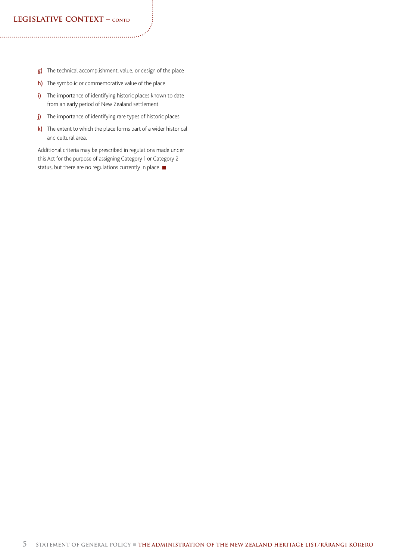### **LEGISLATIVE CONTEXT – CONTD**

- g) The technical accomplishment, value, or design of the place
- h) The symbolic or commemorative value of the place
- i) The importance of identifying historic places known to date from an early period of New Zealand settlement
- j) The importance of identifying rare types of historic places
- k) The extent to which the place forms part of a wider historical and cultural area.

Additional criteria may be prescribed in regulations made under this Act for the purpose of assigning Category 1 or Category 2 status, but there are no regulations currently in place.  $\blacksquare$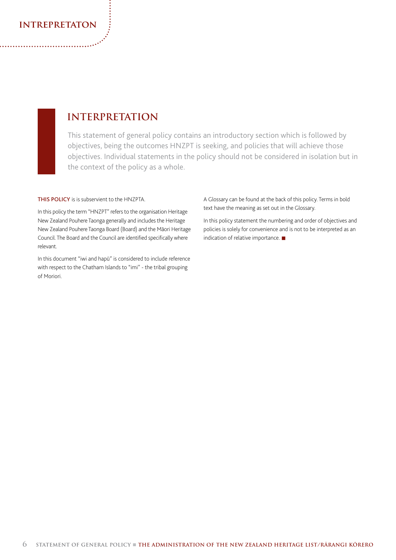### **intrepretaton**

## **INTERPRETATION**

This statement of general policy contains an introductory section which is followed by objectives, being the outcomes HNZPT is seeking, and policies that will achieve those objectives. Individual statements in the policy should not be considered in isolation but in the context of the policy as a whole.

THIS POLICY is is subservient to the HNZPTA.

In this policy the term "HNZPT" refers to the organisation Heritage New Zealand Pouhere Taonga generally and includes the Heritage New Zealand Pouhere Taonga Board (Board) and the Māori Heritage Council. The Board and the Council are identified specifically where relevant.

In this document "iwi and hapū" is considered to include reference with respect to the Chatham Islands to "imi" - the tribal grouping of Moriori.

A Glossary can be found at the back of this policy. Terms in bold text have the meaning as set out in the Glossary.

In this policy statement the numbering and order of objectives and policies is solely for convenience and is not to be interpreted as an indication of relative importance.  $\blacksquare$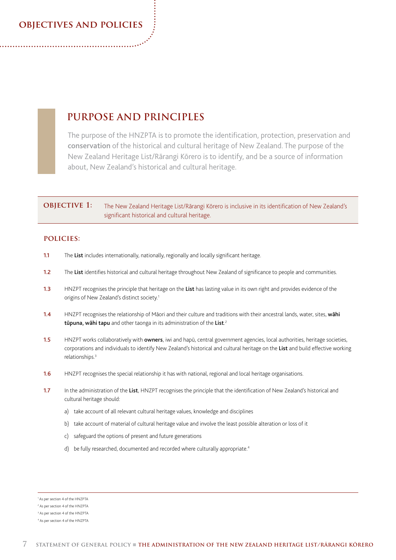### **objectives and policies**

### **PURPOSE AND PRINCIPLES**

The purpose of the HNZPTA is to promote the identification, protection, preservation and conservation of the historical and cultural heritage of New Zealand. The purpose of the New Zealand Heritage List/Rārangi Kōrero is to identify, and be a source of information about, New Zealand's historical and cultural heritage.

### **OBJECTIVE 1:** The New Zealand Heritage List/Rārangi Kōrero is inclusive in its identification of New Zealand's significant historical and cultural heritage.

- 1.1 The List includes internationally, nationally, regionally and locally significant heritage.
- 1.2 The List identifies historical and cultural heritage throughout New Zealand of significance to people and communities.
- 1.3 HNZPT recognises the principle that heritage on the List has lasting value in its own right and provides evidence of the origins of New Zealand's distinct society.<sup>1</sup>
- 1.4 HNZPT recognises the relationship of Māori and their culture and traditions with their ancestral lands, water, sites, wahi tūpuna, wāhi tapu and other taonga in its administration of the List.<sup>2</sup>
- 1.5 HNZPT works collaboratively with owners, iwi and hapū, central government agencies, local authorities, heritage societies, corporations and individuals to identify New Zealand's historical and cultural heritage on the List and build effective working relationships.3
- 1.6 HNZPT recognises the special relationship it has with national, regional and local heritage organisations.
- 1.7 In the administration of the List, HNZPT recognises the principle that the identification of New Zealand's historical and cultural heritage should:
	- a) take account of all relevant cultural heritage values, knowledge and disciplines
	- b) take account of material of cultural heritage value and involve the least possible alteration or loss of it
	- c) safeguard the options of present and future generations
	- d) be fully researched, documented and recorded where culturally appropriate.<sup>4</sup>

<sup>1</sup> As per section 4 of the HNZPTA

<sup>2</sup> As per section 4 of the HNZPTA

<sup>3</sup> As per section 4 of the HNZPTA

<sup>4</sup> As per section 4 of the HNZPTA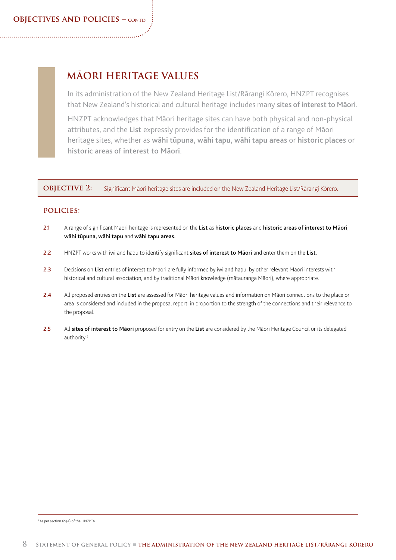## **MĀORI HERITAGE VALUES**

In its administration of the New Zealand Heritage List/Rārangi Kōrero, HNZPT recognises that New Zealand's historical and cultural heritage includes many sites of interest to Māori.

HNZPT acknowledges that Māori heritage sites can have both physical and non-physical attributes, and the List expressly provides for the identification of a range of Māori heritage sites, whether as wāhi tūpuna, wāhi tapu, wāhi tapu areas or historic places or historic areas of interest to Māori.

**OBJECTIVE 2:** Significant Māori heritage sites are included on the New Zealand Heritage List/Rārangi Kōrero.

### **policies:**

- 2.1 A range of significant Māori heritage is represented on the List as historic places and historic areas of interest to Māori, wāhi tūpuna, wāhi tapu and wāhi tapu areas.
- 2.2 HNZPT works with iwi and hapū to identify significant sites of interest to Māori and enter them on the List.
- 2.3 Decisions on List entries of interest to Māori are fully informed by iwi and hapū, by other relevant Māori interests with historical and cultural association, and by traditional Māori knowledge (mātauranga Māori), where appropriate.
- 2.4 All proposed entries on the List are assessed for Māori heritage values and information on Māori connections to the place or area is considered and included in the proposal report, in proportion to the strength of the connections and their relevance to the proposal.
- 2.5 All sites of interest to Māori proposed for entry on the List are considered by the Māori Heritage Council or its delegated authority.<sup>5</sup>

5 As per section 69(4) of the HNZPTA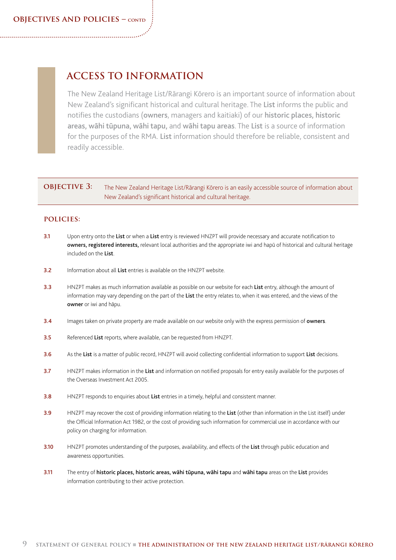## **ACCESS TO INFORMATION**

The New Zealand Heritage List/Rārangi Kōrero is an important source of information about New Zealand's significant historical and cultural heritage. The List informs the public and notifies the custodians (owners, managers and kaitiaki) of our historic places, historic areas, wāhi tūpuna, wāhi tapu, and wāhi tapu areas. The List is a source of information for the purposes of the RMA. List information should therefore be reliable, consistent and readily accessible.

### **OBJECTIVE 3:** The New Zealand Heritage List/Rārangi Kōrero is an easily accessible source of information about New Zealand's significant historical and cultural heritage.

- 3.1 Upon entry onto the List or when a List entry is reviewed HNZPT will provide necessary and accurate notification to owners, registered interests, relevant local authorities and the appropriate iwi and hapū of historical and cultural heritage included on the List.
- **3.2** Information about all List entries is available on the HNZPT website.
- 3.3 HNZPT makes as much information available as possible on our website for each List entry, although the amount of information may vary depending on the part of the List the entry relates to, when it was entered, and the views of the owner or iwi and hāpu.
- 3.4 Images taken on private property are made available on our website only with the express permission of owners.
- 3.5 Referenced List reports, where available, can be requested from HNZPT.
- 3.6 As the List is a matter of public record, HNZPT will avoid collecting confidential information to support List decisions.
- 3.7 HNZPT makes information in the List and information on notified proposals for entry easily available for the purposes of the Overseas Investment Act 2005.
- 3.8 HNZPT responds to enquiries about List entries in a timely, helpful and consistent manner.
- 3.9 HNZPT may recover the cost of providing information relating to the List (other than information in the List itself) under the Official Information Act 1982, or the cost of providing such information for commercial use in accordance with our policy on charging for information.
- 3.10 HNZPT promotes understanding of the purposes, availability, and effects of the List through public education and awareness opportunities.
- 3.11 The entry of historic places, historic areas, wāhi tūpuna, wāhi tapu and wāhi tapu areas on the List provides information contributing to their active protection.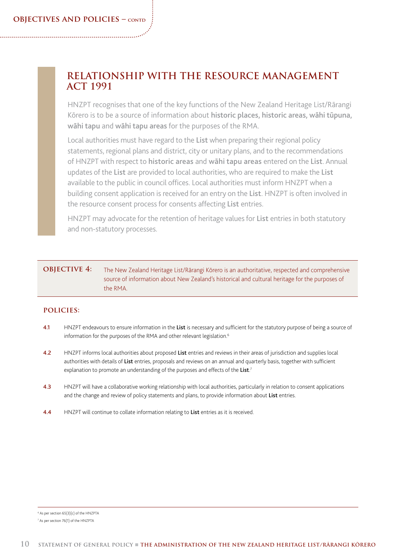### **RELATIONSHIP WITH THE RESOURCE MANAGEMENT ACT 1991**

HNZPT recognises that one of the key functions of the New Zealand Heritage List/Rārangi Kōrero is to be a source of information about historic places, historic areas, wāhi tūpuna, wāhi tapu and wāhi tapu areas for the purposes of the RMA.

Local authorities must have regard to the List when preparing their regional policy statements, regional plans and district, city or unitary plans, and to the recommendations of HNZPT with respect to historic areas and wāhi tapu areas entered on the List. Annual updates of the List are provided to local authorities, who are required to make the List available to the public in council offices. Local authorities must inform HNZPT when a building consent application is received for an entry on the List. HNZPT is often involved in the resource consent process for consents affecting List entries.

HNZPT may advocate for the retention of heritage values for List entries in both statutory and non-statutory processes.

### **OBJECTIVE 4:** The New Zealand Heritage List/Rārangi Kōrero is an authoritative, respected and comprehensive source of information about New Zealand's historical and cultural heritage for the purposes of the RMA.

- 4.1 HNZPT endeavours to ensure information in the List is necessary and sufficient for the statutory purpose of being a source of information for the purposes of the RMA and other relevant legislation.<sup>6</sup>
- 4.2 HNZPT informs local authorities about proposed List entries and reviews in their areas of jurisdiction and supplies local authorities with details of List entries, proposals and reviews on an annual and quarterly basis, together with sufficient explanation to promote an understanding of the purposes and effects of the List.<sup>7</sup>
- 4.3 HNZPT will have a collaborative working relationship with local authorities, particularly in relation to consent applications and the change and review of policy statements and plans, to provide information about List entries.
- 4.4 HNZPT will continue to collate information relating to List entries as it is received.

<sup>6</sup> As per section 65(3)(c) of the HNZPTA

<sup>7</sup> As per section 76(1) of the HNZPTA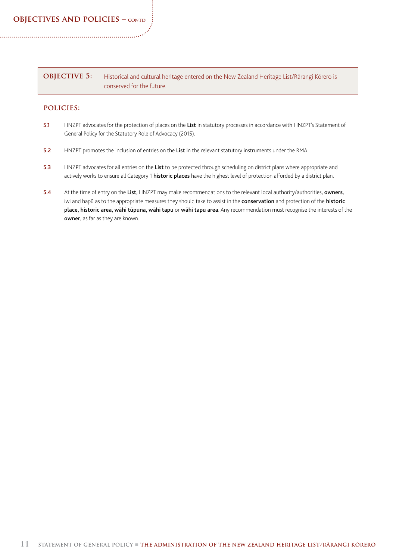| <b>OBJECTIVE 5:</b> | Historical and cultural heritage entered on the New Zealand Heritage List/Rārangi Kōrero is |
|---------------------|---------------------------------------------------------------------------------------------|
|                     | conserved for the future.                                                                   |

- 5.1 HNZPT advocates for the protection of places on the List in statutory processes in accordance with HNZPT's Statement of General Policy for the Statutory Role of Advocacy (2015).
- 5.2 HNZPT promotes the inclusion of entries on the List in the relevant statutory instruments under the RMA.
- 5.3 HNZPT advocates for all entries on the List to be protected through scheduling on district plans where appropriate and actively works to ensure all Category 1 historic places have the highest level of protection afforded by a district plan.
- 5.4 At the time of entry on the List, HNZPT may make recommendations to the relevant local authority/authorities, owners, iwi and hapū as to the appropriate measures they should take to assist in the conservation and protection of the historic place, historic area, wāhi tūpuna, wāhi tapu or wāhi tapu area. Any recommendation must recognise the interests of the owner, as far as they are known.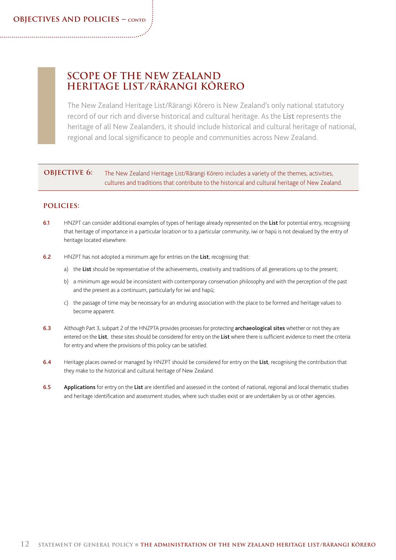### **SCOPE OF THE NEW ZEALAND HERITAGE LIST/RĀRANGI KŌRERO**

The New Zealand Heritage List/Rārangi Kōrero is New Zealand's only national statutory record of our rich and diverse historical and cultural heritage. As the List represents the heritage of all New Zealanders, it should include historical and cultural heritage of national, regional and local significance to people and communities across New Zealand.

### **OBJECTIVE 6:** The New Zealand Heritage List/Rārangi Kōrero includes a variety of the themes, activities, cultures and traditions that contribute to the historical and cultural heritage of New Zealand.

- 6.1 HNZPT can consider additional examples of types of heritage already represented on the List for potential entry, recognising that heritage of importance in a particular location or to a particular community, iwi or hapū is not devalued by the entry of heritage located elsewhere.
- 6.2 HNZPT has not adopted a minimum age for entries on the List, recognising that:
	- a) the List should be representative of the achievements, creativity and traditions of all generations up to the present;
	- b) a minimum age would be inconsistent with contemporary conservation philosophy and with the perception of the past and the present as a continuum, particularly for iwi and hapū;
	- c) the passage of time may be necessary for an enduring association with the place to be formed and heritage values to become apparent.
- 6.3 Although Part 3, subpart 2 of the HNZPTA provides processes for protecting archaeological sites whether or not they are entered on the List, these sites should be considered for entry on the List where there is sufficient evidence to meet the criteria for entry and where the provisions of this policy can be satisfied.
- 6.4 Heritage places owned or managed by HNZPT should be considered for entry on the List, recognising the contribution that they make to the historical and cultural heritage of New Zealand.
- 6.5 Applications for entry on the List are identified and assessed in the context of national, regional and local thematic studies and heritage identification and assessment studies, where such studies exist or are undertaken by us or other agencies.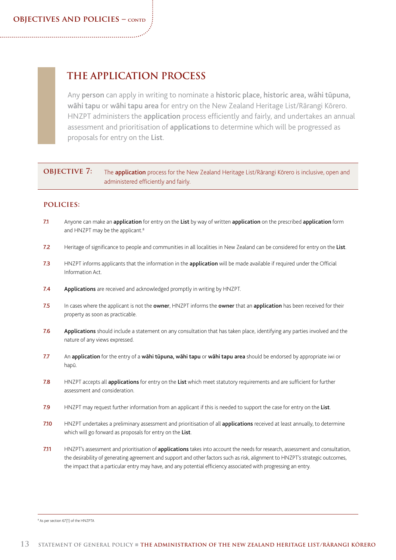## **THE APPLICATION PROCESS**

Any person can apply in writing to nominate a historic place, historic area, wāhi tūpuna, wāhi tapu or wāhi tapu area for entry on the New Zealand Heritage List/Rārangi Kōrero. HNZPT administers the application process efficiently and fairly, and undertakes an annual assessment and prioritisation of applications to determine which will be progressed as proposals for entry on the List.

### **OBJECTIVE 7:** The **application** process for the New Zealand Heritage List/Rārangi Kōrero is inclusive, open and administered efficiently and fairly.

- 7.1 Anyone can make an application for entry on the List by way of written application on the prescribed application form and HNZPT may be the applicant.<sup>8</sup>
- 7.2 Heritage of significance to people and communities in all localities in New Zealand can be considered for entry on the List.
- 7.3 HNZPT informs applicants that the information in the application will be made available if required under the Official Information Act.
- 7.4 Applications are received and acknowledged promptly in writing by HNZPT.
- 7.5 In cases where the applicant is not the owner, HNZPT informs the owner that an application has been received for their property as soon as practicable.
- 7.6 Applications should include a statement on any consultation that has taken place, identifying any parties involved and the nature of any views expressed.
- 7.7 An application for the entry of a wāhi tūpuna, wāhi tapu or wāhi tapu area should be endorsed by appropriate iwi or hapū.
- 7.8 HNZPT accepts all applications for entry on the List which meet statutory requirements and are sufficient for further assessment and consideration.
- 7.9 HNZPT may request further information from an applicant if this is needed to support the case for entry on the List.
- 7.10 HNZPT undertakes a preliminary assessment and prioritisation of all applications received at least annually, to determine which will go forward as proposals for entry on the List.
- 7.11 HNZPT's assessment and prioritisation of applications takes into account the needs for research, assessment and consultation, the desirability of generating agreement and support and other factors such as risk, alignment to HNZPT's strategic outcomes, the impact that a particular entry may have, and any potential efficiency associated with progressing an entry.

8 As per section 67(1) of the HNZPTA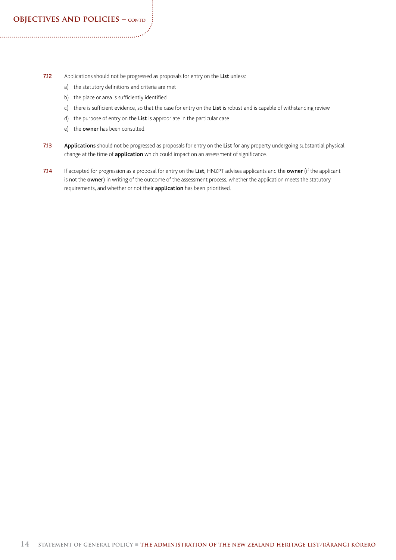- 7.12 Applications should not be progressed as proposals for entry on the List unless:
	- a) the statutory definitions and criteria are met
	- b) the place or area is sufficiently identified
	- c) there is sufficient evidence, so that the case for entry on the List is robust and is capable of withstanding review
	- d) the purpose of entry on the List is appropriate in the particular case
	- e) the owner has been consulted.
- 7.13 Applications should not be progressed as proposals for entry on the List for any property undergoing substantial physical change at the time of *application* which could impact on an assessment of significance.
- 7.14 If accepted for progression as a proposal for entry on the List, HNZPT advises applicants and the owner (if the applicant is not the **owner**) in writing of the outcome of the assessment process, whether the application meets the statutory requirements, and whether or not their **application** has been prioritised.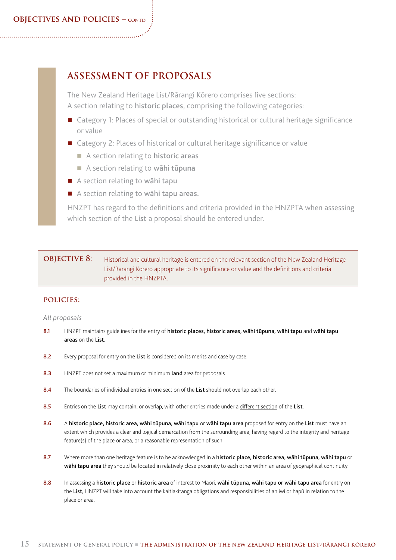## **ASSESSMENT OF PROPOSALS**

The New Zealand Heritage List/Rārangi Kōrero comprises five sections: A section relating to historic places, comprising the following categories:

- Category 1: Places of special or outstanding historical or cultural heritage significance or value
- Category 2: Places of historical or cultural heritage significance or value
	- $\blacksquare$  A section relating to historic areas
	- A section relating to wāhi tūpuna
- A section relating to wāhi tapu
- A section relating to wāhi tapu areas.

HNZPT has regard to the definitions and criteria provided in the HNZPTA when assessing which section of the List a proposal should be entered under.

### **OBJECTIVE 8:** Historical and cultural heritage is entered on the relevant section of the New Zealand Heritage List/Rārangi Kōrero appropriate to its significance or value and the definitions and criteria provided in the HNZPTA.

### **policies:**

### *All proposals*

- 8.1 HNZPT maintains guidelines for the entry of historic places, historic areas, wāhi tūpuna, wāhi tapu and wāhi tapu areas on the List.
- 8.2 Every proposal for entry on the List is considered on its merits and case by case.
- 8.3 HNZPT does not set a maximum or minimum land area for proposals.
- 8.4 The boundaries of individual entries in one section of the List should not overlap each other.
- 8.5 Entries on the List may contain, or overlap, with other entries made under a different section of the List.
- 8.6 A historic place, historic area, wāhi tūpuna, wāhi tapu or wāhi tapu area proposed for entry on the List must have an extent which provides a clear and logical demarcation from the surrounding area, having regard to the integrity and heritage feature(s) of the place or area, or a reasonable representation of such.
- 8.7 Where more than one heritage feature is to be acknowledged in a historic place, historic area, wāhi tūpuna, wāhi tapu or wāhi tapu area they should be located in relatively close proximity to each other within an area of geographical continuity.
- 8.8 In assessing a historic place or historic area of interest to Māori, wāhi tūpuna, wāhi tapu or wāhi tapu area for entry on the List, HNZPT will take into account the kaitiakitanga obligations and responsibilities of an iwi or hapū in relation to the place or area.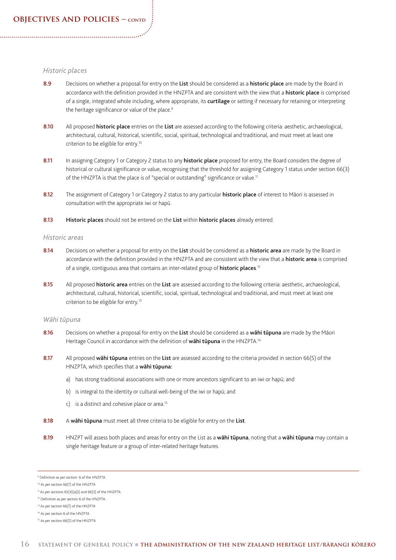### *Historic places*

- 8.9 Decisions on whether a proposal for entry on the List should be considered as a historic place are made by the Board in accordance with the definition provided in the HNZPTA and are consistent with the view that a **historic place** is comprised of a single, integrated whole including, where appropriate, its curtilage or setting if necessary for retaining or interpreting the heritage significance or value of the place.<sup>9</sup>
- 8.10 All proposed historic place entries on the List are assessed according to the following criteria: aesthetic, archaeological, architectural, cultural, historical, scientific, social, spiritual, technological and traditional, and must meet at least one criterion to be eligible for entry.10
- 8.11 In assigning Category 1 or Category 2 status to any historic place proposed for entry, the Board considers the degree of historical or cultural significance or value, recognising that the threshold for assigning Category 1 status under section 66(3) of the HNZPTA is that the place is of "special or outstanding" significance or value.<sup>11</sup>
- 8.12 The assignment of Category 1 or Category 2 status to any particular historic place of interest to Māori is assessed in consultation with the appropriate iwi or hapū.
- 8.13 Historic places should not be entered on the List within historic places already entered.

#### *Historic areas*

- 8.14 Decisions on whether a proposal for entry on the List should be considered as a historic area are made by the Board in accordance with the definition provided in the HNZPTA and are consistent with the view that a **historic area** is comprised of a single, contiguous area that contains an inter-related group of **historic places**.<sup>12</sup>
- 8.15 All proposed historic area entries on the List are assessed according to the following criteria: aesthetic, archaeological, architectural, cultural, historical, scientific, social, spiritual, technological and traditional, and must meet at least one criterion to be eligible for entry.13

### *Wāhi tūpuna*

- 8.16 Decisions on whether a proposal for entry on the List should be considered as a wāhi tūpuna are made by the Māori Heritage Council in accordance with the definition of wahi tupuna in the HNZPTA.<sup>14</sup>
- 8.17 All proposed wahi tūpuna entries on the List are assessed according to the criteria provided in section 66(5) of the HNZPTA, which specifies that a wāhi tūpuna:
	- a) has strong traditional associations with one or more ancestors significant to an iwi or hapū; and
	- b) is integral to the identity or cultural well-being of the iwi or hapū; and
	- c) is a distinct and cohesive place or area.<sup>15</sup>
- 8.18 A wāhi tūpuna must meet all three criteria to be eligible for entry on the List.
- 8.19 HNZPT will assess both places and areas for entry on the List as a wahi tūpuna, noting that a wahi tūpuna may contain a single heritage feature or a group of inter-related heritage features.

<sup>9</sup> Definition as per section 6 of the HNZPTA

<sup>10</sup> As per section 66(1) of the HNZPTA

<sup>11</sup> As per sections 65(4)(a)(i) and 66(3) of the HNZPTA

<sup>12</sup> Definition as per section 6 of the HNZPTA

<sup>13</sup> As per section 66(1) of the HNZPTA

<sup>14</sup> As per section 6 of the HNZPTA

<sup>&</sup>lt;sup>15</sup> As per section 66(5) of the HNZPTA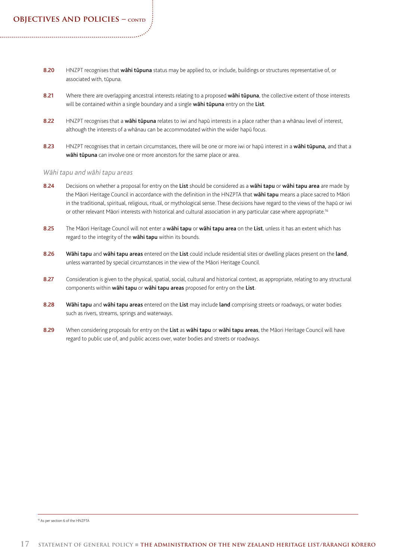- 8.20 HNZPT recognises that wahi tūpuna status may be applied to, or include, buildings or structures representative of, or associated with, tūpuna.
- 8.21 Where there are overlapping ancestral interests relating to a proposed wahitupuna, the collective extent of those interests will be contained within a single boundary and a single wahi tupuna entry on the List.
- 8.22 HNZPT recognises that a wahitupuna relates to iwi and hapū interests in a place rather than a whānau level of interest, although the interests of a whānau can be accommodated within the wider hapū focus.
- 8.23 HNZPT recognises that in certain circumstances, there will be one or more iwi or hapū interest in a wāhi tūpuna, and that a wāhi tūpuna can involve one or more ancestors for the same place or area.

#### *Wāhi tapu and wāhi tapu areas*

- 8.24 Decisions on whether a proposal for entry on the List should be considered as a wahi tapu or wahi tapu area are made by the Māori Heritage Council in accordance with the definition in the HNZPTA that wahi tapu means a place sacred to Māori in the traditional, spiritual, religious, ritual, or mythological sense. These decisions have regard to the views of the hapū or iwi or other relevant Māori interests with historical and cultural association in any particular case where appropriate.<sup>16</sup>
- 8.25 The Māori Heritage Council will not enter a wāhi tapu or wāhi tapu area on the List, unless it has an extent which has regard to the integrity of the wahi tapu within its bounds.
- 8.26 Wāhi tapu and wāhi tapu areas entered on the List could include residential sites or dwelling places present on the land, unless warranted by special circumstances in the view of the Māori Heritage Council.
- 8.27 Consideration is given to the physical, spatial, social, cultural and historical context, as appropriate, relating to any structural components within wāhi tapu or wāhi tapu areas proposed for entry on the List.
- 8.28 Wāhi tapu and wāhi tapu areas entered on the List may include land comprising streets or roadways, or water bodies such as rivers, streams, springs and waterways.
- 8.29 When considering proposals for entry on the List as wāhi tapu or wāhi tapu areas, the Māori Heritage Council will have regard to public use of, and public access over, water bodies and streets or roadways.

16 As per section 6 of the HNZPTA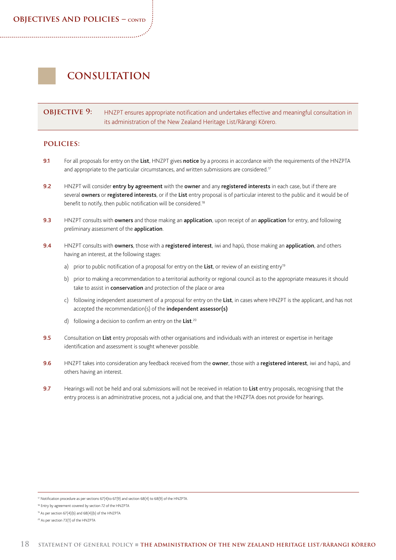### **objectives and policies – contd**

## **CONSULTATION**

### **OBJECTIVE 9:** HNZPT ensures appropriate notification and undertakes effective and meaningful consultation in its administration of the New Zealand Heritage List/Rārangi Kōrero.

- 9.1 For all proposals for entry on the List, HNZPT gives notice by a process in accordance with the requirements of the HNZPTA and appropriate to the particular circumstances, and written submissions are considered.<sup>17</sup>
- 9.2 HNZPT will consider entry by agreement with the owner and any registered interests in each case, but if there are several owners or registered interests, or if the List entry proposal is of particular interest to the public and it would be of benefit to notify, then public notification will be considered.18
- 9.3 HNZPT consults with owners and those making an application, upon receipt of an application for entry, and following preliminary assessment of the **application**.
- 9.4 HNZPT consults with owners, those with a registered interest, iwi and hapū, those making an application, and others having an interest, at the following stages:
	- a) prior to public notification of a proposal for entry on the List, or review of an existing entry<sup>19</sup>
	- b) prior to making a recommendation to a territorial authority or regional council as to the appropriate measures it should take to assist in **conservation** and protection of the place or area
	- c) following independent assessment of a proposal for entry on the List, in cases where HNZPT is the applicant, and has not accepted the recommendation(s) of the **independent assessor(s)**
	- d) following a decision to confirm an entry on the List.<sup>20</sup>
- 9.5 Consultation on List entry proposals with other organisations and individuals with an interest or expertise in heritage identification and assessment is sought whenever possible.
- 9.6 HNZPT takes into consideration any feedback received from the owner, those with a registered interest, iwi and hapū, and others having an interest.
- 9.7 Hearings will not be held and oral submissions will not be received in relation to List entry proposals, recognising that the entry process is an administrative process, not a judicial one, and that the HNZPTA does not provide for hearings.

<sup>17</sup> Notification procedure as per sections 67(4)to 67(9) and section 68(4) to 68(9) of the HNZPTA.

<sup>&</sup>lt;sup>18</sup> Entry by agreement covered by section 72 of the HNZPTA

<sup>19</sup> As per section 67(4)(b) and 68(4)(b) of the HNZPTA

<sup>20</sup> As per section 73(1) of the HNZPTA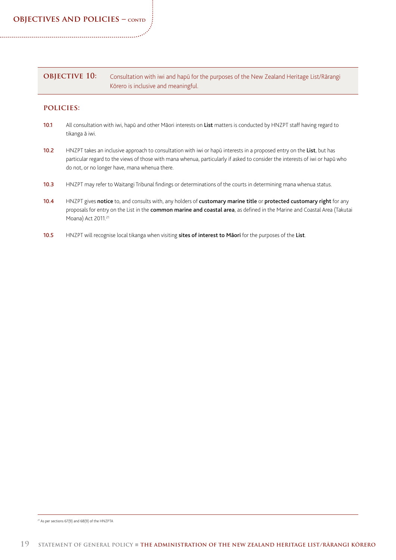| <b>OBJECTIVE 10:</b> | Consultation with iwi and hapū for the purposes of the New Zealand Heritage List/Rārangi |
|----------------------|------------------------------------------------------------------------------------------|
|                      | Kōrero is inclusive and meaningful.                                                      |

### **policies:**

- 10.1 All consultation with iwi, hapū and other Māori interests on List matters is conducted by HNZPT staff having regard to tikanga ā iwi.
- 10.2 HNZPT takes an inclusive approach to consultation with iwi or hapū interests in a proposed entry on the List, but has particular regard to the views of those with mana whenua, particularly if asked to consider the interests of iwi or hapū who do not, or no longer have, mana whenua there.
- 10.3 HNZPT may refer to Waitangi Tribunal findings or determinations of the courts in determining mana whenua status.
- 10.4 HNZPT gives notice to, and consults with, any holders of customary marine title or protected customary right for any proposals for entry on the List in the common marine and coastal area, as defined in the Marine and Coastal Area (Takutai Moana) Act 2011.<sup>21</sup>
- 10.5 HNZPT will recognise local tikanga when visiting sites of interest to Māori for the purposes of the List.

21 As per sections 67(9) and 68(9) of the HNZPTA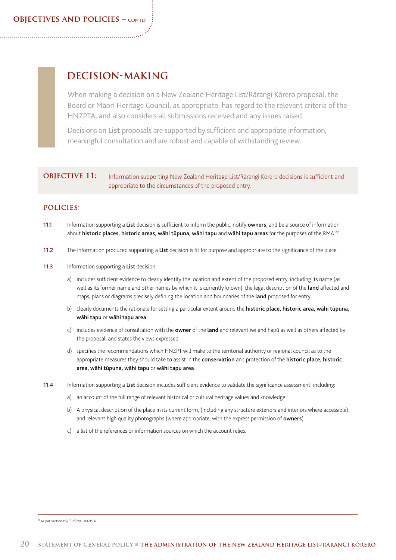## **DECISION-MAKING**

When making a decision on a New Zealand Heritage List/Rārangi Kōrero proposal, the Board or Māori Heritage Council, as appropriate, has regard to the relevant criteria of the HNZPTA, and also considers all submissions received and any issues raised.

Decisions on List proposals are supported by sufficient and appropriate information, meaningful consultation and are robust and capable of withstanding review.

### **OBJECTIVE 11:** Information supporting New Zealand Heritage List/Rārangi Kōrero decisions is sufficient and appropriate to the circumstances of the proposed entry.

- 11.1 Information supporting a List decision is sufficient to inform the public, notify owners, and be a source of information about historic places, historic areas, wāhi tūpuna, wāhi tapu and wāhi tapu areas for the purposes of the RMA.<sup>22</sup>
- 11.2 The information produced supporting a List decision is fit for purpose and appropriate to the significance of the place.
- 11.3 Information supporting a List decision:
	- a) includes sufficient evidence to clearly identify the location and extent of the proposed entry, including its name (as well as its former name and other names by which it is currently known), the legal description of the land affected and maps, plans or diagrams precisely defining the location and boundaries of the land proposed for entry
	- b) clearly documents the rationale for setting a particular extent around the historic place, historic area, wāhi tūpuna, wāhi tapu or wāhi tapu area
	- c) includes evidence of consultation with the **owner** of the land and relevant iwi and hapū as well as others affected by the proposal, and states the views expressed
	- d) specifies the recommendations which HNZPT will make to the territorial authority or regional council as to the appropriate measures they should take to assist in the conservation and protection of the historic place, historic area, wāhi tūpuna, wāhi tapu or wāhi tapu area.
- 11.4 Information supporting a List decision includes sufficient evidence to validate the significance assessment, including:
	- a) an account of the full range of relevant historical or cultural heritage values and knowledge
	- b) A physical description of the place in its current form, (including any structure exteriors and interiors where accessible), and relevant high quality photographs (where appropriate, with the express permission of **owners**)
	- c) a list of the references or information sources on which the account relies.

<sup>22</sup> As per section 65(3) of the HNZPTA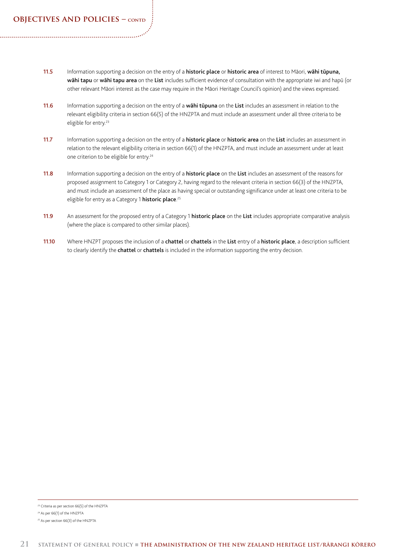- 11.5 Information supporting a decision on the entry of a historic place or historic area of interest to Māori, wāhi tūpuna, wāhi tapu or wāhi tapu area on the List includes sufficient evidence of consultation with the appropriate iwi and hapū (or other relevant Māori interest as the case may require in the Māori Heritage Council's opinion) and the views expressed.
- 11.6 Information supporting a decision on the entry of a wāhi tūpuna on the List includes an assessment in relation to the relevant eligibility criteria in section 66(5) of the HNZPTA and must include an assessment under all three criteria to be eligible for entry.<sup>23</sup>
- 11.7 Information supporting a decision on the entry of a **historic place** or **historic area** on the List includes an assessment in relation to the relevant eligibility criteria in section 66(1) of the HNZPTA, and must include an assessment under at least one criterion to be eligible for entry.24
- 11.8 Information supporting a decision on the entry of a **historic place** on the List includes an assessment of the reasons for proposed assignment to Category 1 or Category 2, having regard to the relevant criteria in section 66(3) of the HNZPTA, and must include an assessment of the place as having special or outstanding significance under at least one criteria to be eligible for entry as a Category 1 **historic place**.<sup>25</sup>
- 11.9 An assessment for the proposed entry of a Category 1 historic place on the List includes appropriate comparative analysis (where the place is compared to other similar places).
- 11.10 Where HNZPT proposes the inclusion of a chattel or chattels in the List entry of a historic place, a description sufficient to clearly identify the chattel or chattels is included in the information supporting the entry decision.

<sup>23</sup> Criteria as per section 66(5) of the HNZPTA

<sup>24</sup> As per 66(1) of the HNZPTA

<sup>25</sup> As per section 66(3) of the HNZPTA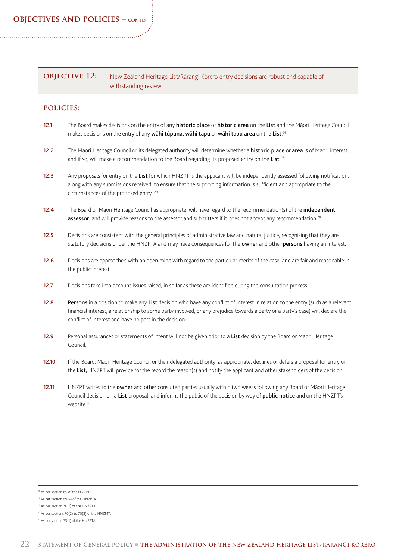| <b>OBJECTIVE 12:</b> | New Zealand Heritage List/Rārangi Kōrero entry decisions are robust and capable of |
|----------------------|------------------------------------------------------------------------------------|
|                      | withstanding review.                                                               |

- 12.1 The Board makes decisions on the entry of any historic place or historic area on the List and the Māori Heritage Council makes decisions on the entry of any **wāhi tūpuna, wāhi tapu** or **wāhi tapu area** on the **List**.<sup>26</sup>
- 12.2 The Māori Heritage Council or its delegated authority will determine whether a historic place or area is of Māori interest, and if so, will make a recommendation to the Board regarding its proposed entry on the List.<sup>27</sup>
- 12.3 Any proposals for entry on the List for which HNZPT is the applicant will be independently assessed following notification, along with any submissions received, to ensure that the supporting information is sufficient and appropriate to the circumstances of the proposed entry. 28
- 12.4 The Board or Māori Heritage Council as appropriate, will have regard to the recommendation(s) of the *independent* assessor, and will provide reasons to the assessor and submitters if it does not accept any recommendation.<sup>29</sup>
- 12.5 Decisions are consistent with the general principles of administrative law and natural justice, recognising that they are statutory decisions under the HNZPTA and may have consequences for the owner and other persons having an interest.
- 12.6 Decisions are approached with an open mind with regard to the particular merits of the case, and are fair and reasonable in the public interest.
- 12.7 Decisions take into account issues raised, in so far as these are identified during the consultation process.
- 12.8 Persons in a position to make any List decision who have any conflict of interest in relation to the entry (such as a relevant financial interest, a relationship to some party involved, or any prejudice towards a party or a party's case) will declare the conflict of interest and have no part in the decision.
- 12.9 Personal assurances or statements of intent will not be given prior to a List decision by the Board or Māori Heritage Council.
- 12.10 If the Board, Māori Heritage Council or their delegated authority, as appropriate, declines or defers a proposal for entry on the List, HNZPT will provide for the record the reason(s) and notify the applicant and other stakeholders of the decision.
- 12.11 HNZPT writes to the owner and other consulted parties usually within two weeks following any Board or Māori Heritage Council decision on a List proposal, and informs the public of the decision by way of public notice and on the HNZPT's website.<sup>30</sup>

<sup>26</sup> As per section 69 of the HNZPTA

<sup>27</sup> As per section 69(4) of the HNZPTA

<sup>28</sup> As per section 70(1) of the HNZPTA

<sup>29</sup> As per sections 70(2) to 70(3) of the HNZPTA

<sup>30</sup> As per section 73(1) of the HNZPTA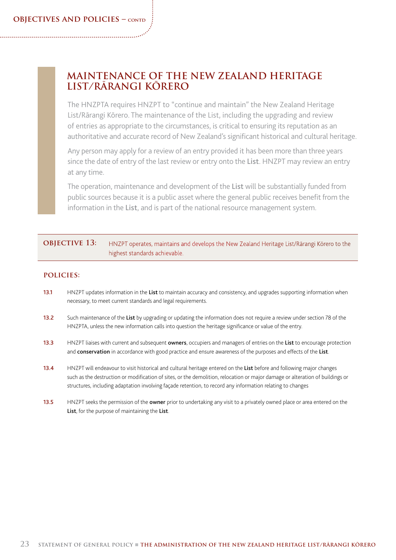## **MAINTENANCE OF THE NEW ZEALAND HERITAGE LIST/RĀRANGI KŌRERO**

The HNZPTA requires HNZPT to "continue and maintain" the New Zealand Heritage List/Rārangi Kōrero. The maintenance of the List, including the upgrading and review of entries as appropriate to the circumstances, is critical to ensuring its reputation as an authoritative and accurate record of New Zealand's significant historical and cultural heritage.

Any person may apply for a review of an entry provided it has been more than three years since the date of entry of the last review or entry onto the List. HNZPT may review an entry at any time.

The operation, maintenance and development of the List will be substantially funded from public sources because it is a public asset where the general public receives benefit from the information in the List, and is part of the national resource management system.

### **OBJECTIVE 13:** HNZPT operates, maintains and develops the New Zealand Heritage List/Rārangi Kōrero to the highest standards achievable.

- 13.1 HNZPT updates information in the List to maintain accuracy and consistency, and upgrades supporting information when necessary, to meet current standards and legal requirements.
- 13.2 Such maintenance of the List by upgrading or updating the information does not require a review under section 78 of the HNZPTA, unless the new information calls into question the heritage significance or value of the entry.
- 13.3 HNZPT liaises with current and subsequent owners, occupiers and managers of entries on the List to encourage protection and conservation in accordance with good practice and ensure awareness of the purposes and effects of the List.
- 13.4 HNZPT will endeavour to visit historical and cultural heritage entered on the List before and following major changes such as the destruction or modification of sites, or the demolition, relocation or major damage or alteration of buildings or structures, including adaptation involving façade retention, to record any information relating to changes
- 13.5 HNZPT seeks the permission of the **owner** prior to undertaking any visit to a privately owned place or area entered on the List, for the purpose of maintaining the List.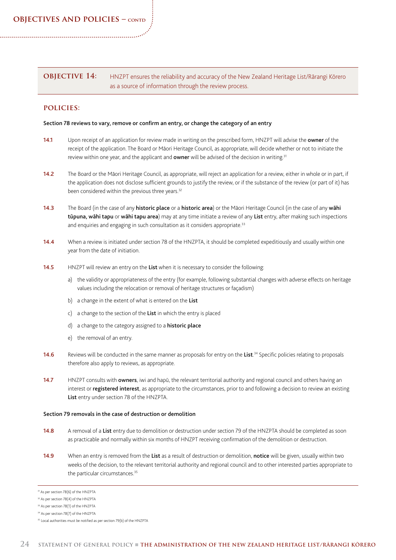### **OBJECTIVE 14:** HNZPT ensures the reliability and accuracy of the New Zealand Heritage List/Rārangi Kōrero as a source of information through the review process.

### **policies:**

#### Section 78 reviews to vary, remove or confirm an entry, or change the category of an entry

- 14.1 Upon receipt of an application for review made in writing on the prescribed form, HNZPT will advise the owner of the receipt of the application. The Board or Māori Heritage Council, as appropriate, will decide whether or not to initiate the review within one year, and the applicant and **owner** will be advised of the decision in writing.<sup>31</sup>
- 14.2 The Board or the Māori Heritage Council, as appropriate, will reject an application for a review, either in whole or in part, if the application does not disclose sufficient grounds to justify the review, or if the substance of the review (or part of it) has been considered within the previous three years.<sup>32</sup>
- 14.3 The Board (in the case of any **historic place** or a **historic area**) or the Māori Heritage Council (in the case of any wahi tūpuna, wāhi tapu or wāhi tapu area) may at any time initiate a review of any List entry, after making such inspections and enquiries and engaging in such consultation as it considers appropriate.<sup>33</sup>
- 14.4 When a review is initiated under section 78 of the HNZPTA, it should be completed expeditiously and usually within one year from the date of initiation.
- 14.5 HNZPT will review an entry on the List when it is necessary to consider the following:
	- a) the validity or appropriateness of the entry (for example, following substantial changes with adverse effects on heritage values including the relocation or removal of heritage structures or façadism)
	- b) a change in the extent of what is entered on the List
	- c) a change to the section of the List in which the entry is placed
	- d) a change to the category assigned to a **historic place**
	- e) the removal of an entry.
- 14.6 Reviews will be conducted in the same manner as proposals for entry on the List.<sup>34</sup> Specific policies relating to proposals therefore also apply to reviews, as appropriate.
- 14.7 HNZPT consults with owners, iwi and hapū, the relevant territorial authority and regional council and others having an interest or registered interest, as appropriate to the circumstances, prior to and following a decision to review an existing List entry under section 78 of the HNZPTA.

#### Section 79 removals in the case of destruction or demolition

- 14.8 A removal of a List entry due to demolition or destruction under section 79 of the HNZPTA should be completed as soon as practicable and normally within six months of HNZPT receiving confirmation of the demolition or destruction.
- 14.9 When an entry is removed from the List as a result of destruction or demolition, notice will be given, usually within two weeks of the decision, to the relevant territorial authority and regional council and to other interested parties appropriate to the particular circumstances.<sup>35</sup>

<sup>31</sup> As per section 78(6) of the HNZPTA

<sup>32</sup> As per section 78(4) of the HNZPTA

<sup>33</sup> As per section 78(1) of the HNZPTA

<sup>34</sup> As per section 78(7) of the HNZPTA

<sup>&</sup>lt;sup>35</sup> Local authorities must be notified as per section 79(b) of the HNZPTA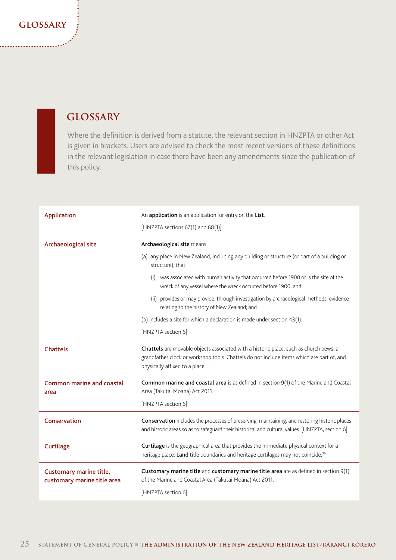### **glossary**

## **GLOSSARY**

Where the definition is derived from a statute, the relevant section in HNZPTA or other Act is given in brackets. Users are advised to check the most recent versions of these definitions in the relevant legislation in case there have been any amendments since the publication of this policy.

| <b>Application</b>                                     | An application is an application for entry on the List.<br>[HNZPTA sections 67(1) and 68(1)]                                                                                                                         |
|--------------------------------------------------------|----------------------------------------------------------------------------------------------------------------------------------------------------------------------------------------------------------------------|
| Archaeological site                                    | Archaeological site means                                                                                                                                                                                            |
|                                                        | (a) any place in New Zealand, including any building or structure (or part of a building or<br>structure), that                                                                                                      |
|                                                        | was associated with human activity that occurred before 1900 or is the site of the<br>(i)<br>wreck of any vessel where the wreck occurred before 1900; and                                                           |
|                                                        | (ii) provides or may provide, through investigation by archaeological methods, evidence<br>relating to the history of New Zealand; and                                                                               |
|                                                        | (b) includes a site for which a declaration is made under section 43(1).                                                                                                                                             |
|                                                        | [HNZPTA section 6]                                                                                                                                                                                                   |
| <b>Chattels</b>                                        | Chattels are movable objects associated with a historic place, such as church pews, a<br>grandfather clock or workshop tools. Chattels do not include items which are part of, and<br>physically affixed to a place. |
| <b>Common marine and coastal</b><br>area               | <b>Common marine and coastal area</b> is as defined in section 9(1) of the Marine and Coastal<br>Area (Takutai Moana) Act 2011.                                                                                      |
|                                                        | [HNZPTA section 6]                                                                                                                                                                                                   |
| Conservation                                           | Conservation includes the processes of preserving, maintaining, and restoring historic places<br>and historic areas so as to safeguard their historical and cultural values. [HNZPTA, section 6]                     |
| Curtilage                                              | Curtilage is the geographical area that provides the immediate physical context for a<br>heritage place. Land title boundaries and heritage curtilages may not coincide. <sup>36</sup>                               |
| Customary marine title,<br>customary marine title area | Customary marine title and customary marine title area are as defined in section 9(1)<br>of the Marine and Coastal Area (Takutai Moana) Act 2011.<br>[HNZPTA section 6]                                              |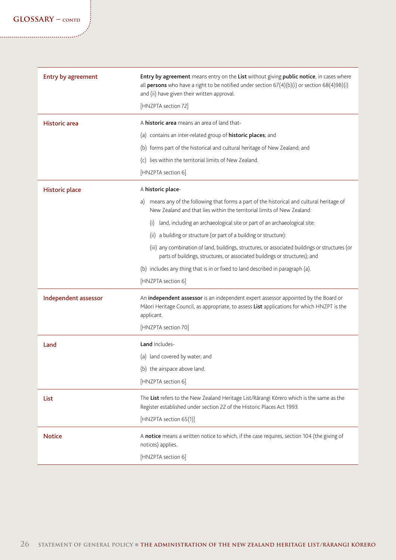| Entry by agreement    | Entry by agreement means entry on the List without giving public notice, in cases where<br>all persons who have a right to be notified under section $67(4)(b)(i)$ or section $68(4)9B)(i)$<br>and (ii) have given their written approval.<br>[HNZPTA section 72] |
|-----------------------|-------------------------------------------------------------------------------------------------------------------------------------------------------------------------------------------------------------------------------------------------------------------|
| <b>Historic</b> area  | A historic area means an area of land that-                                                                                                                                                                                                                       |
|                       | (a) contains an inter-related group of historic places; and                                                                                                                                                                                                       |
|                       | (b) forms part of the historical and cultural heritage of New Zealand; and                                                                                                                                                                                        |
|                       | (c) lies within the territorial limits of New Zealand.                                                                                                                                                                                                            |
|                       | [HNZPTA section 6]                                                                                                                                                                                                                                                |
| <b>Historic place</b> | A historic place-                                                                                                                                                                                                                                                 |
|                       | means any of the following that forms a part of the historical and cultural heritage of<br>a)<br>New Zealand and that lies within the territorial limits of New Zealand:                                                                                          |
|                       | land, including an archaeological site or part of an archaeological site:<br>(i)                                                                                                                                                                                  |
|                       | a building or structure (or part of a building or structure):<br>(ii)                                                                                                                                                                                             |
|                       | (iii) any combination of land, buildings, structures, or associated buildings or structures (or<br>parts of buildings, structures, or associated buildings or structures); and                                                                                    |
|                       | (b) includes any thing that is in or fixed to land described in paragraph (a).                                                                                                                                                                                    |
|                       | [HNZPTA section 6]                                                                                                                                                                                                                                                |
| Independent assessor  | An independent assessor is an independent expert assessor appointed by the Board or<br>Māori Heritage Council, as appropriate, to assess List applications for which HNZPT is the<br>applicant.                                                                   |
|                       | [HNZPTA section 70]                                                                                                                                                                                                                                               |
| Land                  | Land Includes-                                                                                                                                                                                                                                                    |
|                       | (a) land covered by water; and                                                                                                                                                                                                                                    |
|                       | (b) the airspace above land.                                                                                                                                                                                                                                      |
|                       | [HNZPTA section 6]                                                                                                                                                                                                                                                |
| List                  | The List refers to the New Zealand Heritage List/Rārangi Kōrero which is the same as the<br>Register established under section 22 of the Historic Places Act 1993.                                                                                                |
|                       | [HNZPTA section 65(1)]                                                                                                                                                                                                                                            |
| <b>Notice</b>         | A notice means a written notice to which, if the case requires, section 104 (the giving of<br>notices) applies.                                                                                                                                                   |
|                       | [HNZPTA section 6]                                                                                                                                                                                                                                                |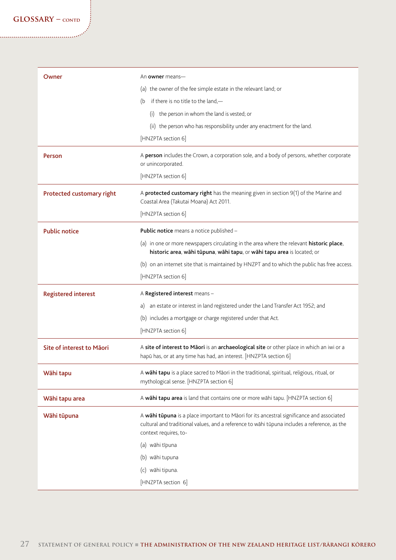| Owner                      | An owner means-                                                                                                                                                                                                    |
|----------------------------|--------------------------------------------------------------------------------------------------------------------------------------------------------------------------------------------------------------------|
|                            | (a) the owner of the fee simple estate in the relevant land; or                                                                                                                                                    |
|                            | if there is no title to the land,-<br>(b                                                                                                                                                                           |
|                            | the person in whom the land is vested; or<br>(i)                                                                                                                                                                   |
|                            | (ii) the person who has responsibility under any enactment for the land.                                                                                                                                           |
|                            | [HNZPTA section 6]                                                                                                                                                                                                 |
| Person                     | A person includes the Crown, a corporation sole, and a body of persons, whether corporate<br>or unincorporated.                                                                                                    |
|                            | [HNZPTA section 6]                                                                                                                                                                                                 |
| Protected customary right  | A protected customary right has the meaning given in section 9(1) of the Marine and<br>Coastal Area (Takutai Moana) Act 2011.                                                                                      |
|                            | [HNZPTA section 6]                                                                                                                                                                                                 |
| <b>Public notice</b>       | Public notice means a notice published -                                                                                                                                                                           |
|                            | (a) in one or more newspapers circulating in the area where the relevant historic place,<br>historic area, wāhi tūpuna, wāhi tapu, or wāhi tapu area is located; or                                                |
|                            | (b) on an internet site that is maintained by HNZPT and to which the public has free access.                                                                                                                       |
|                            | [HNZPTA section 6]                                                                                                                                                                                                 |
| <b>Registered interest</b> | A Registered interest means -                                                                                                                                                                                      |
|                            | an estate or interest in land registered under the Land Transfer Act 1952; and<br>a)                                                                                                                               |
|                            | (b) includes a mortgage or charge registered under that Act.                                                                                                                                                       |
|                            | [HNZPTA section 6]                                                                                                                                                                                                 |
| Site of interest to Māori  | A site of interest to Māori is an archaeological site or other place in which an iwi or a<br>hapū has, or at any time has had, an interest. [HNZPTA section 6]                                                     |
| Wāhi tapu                  | A wāhi tapu is a place sacred to Māori in the traditional, spiritual, religious, ritual, or<br>mythological sense. [HNZPTA section 6]                                                                              |
| Wāhi tapu area             | A wāhi tapu area is land that contains one or more wāhi tapu. [HNZPTA section 6]                                                                                                                                   |
| Wāhi tūpuna                | A wāhi tūpuna is a place important to Māori for its ancestral significance and associated<br>cultural and traditional values, and a reference to wāhi tūpuna includes a reference, as the<br>context requires, to- |
|                            | (a) wāhi tīpuna                                                                                                                                                                                                    |
|                            | (b) wāhi tupuna                                                                                                                                                                                                    |
|                            | (c) wāhi tipuna.                                                                                                                                                                                                   |
|                            | [HNZPTA section 6]                                                                                                                                                                                                 |